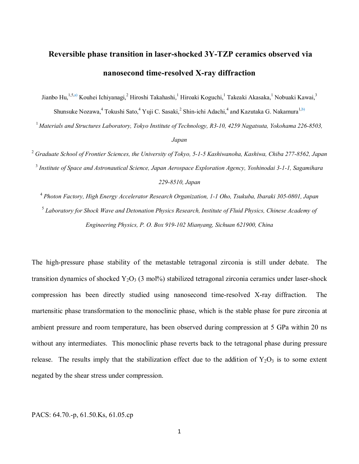## **Reversible phase transition in laser-shocked 3Y-TZP ceramics observed via nanosecond time-resolved X-ray diffraction**

Jianbo Hu,<sup>1,5,a)</sup> Kouhei Ichiyanagi,<sup>2</sup> Hiroshi Takahashi,<sup>1</sup> Hiroaki Koguchi,<sup>1</sup> Takeaki Akasaka,<sup>1</sup> Nobuaki Kawai,<sup>3</sup> Shunsuke Nozawa,<sup>4</sup> Tokushi Sato,<sup>4</sup> Yuji C. Sasaki,<sup>2</sup> Shin-ichi Adachi,<sup>4</sup> and Kazutaka G. Nakamura<sup>1,b)</sup>

1 *Materials and Structures Laboratory, Tokyo Institute of Technology, R3-10, 4259 Nagatsuta, Yokohama 226-8503, Japan*

<sup>2</sup> *Graduate School of Frontier Sciences, the University of Tokyo, 5-1-5 Kashiwanoha, Kashiwa, Chiba 277-8562, Japan* <sup>3</sup> *Institute of Space and Astronautical Science, Japan Aerospace Exploration Agency, Yoshinodai 3-1-1, Sagamihara 229-8510, Japan*

<sup>4</sup> *Photon Factory, High Energy Accelerator Research Organization, 1-1 Oho, Tsukuba, Ibaraki 305-0801, Japan*

<sup>5</sup> *Laboratory for Shock Wave and Detonation Physics Research, Institute of Fluid Physics, Chinese Academy of Engineering Physics, P. O. Box 919-102 Mianyang, Sichuan 621900, China*

The high-pressure phase stability of the metastable tetragonal zirconia is still under debate. The transition dynamics of shocked  $Y_2O_3$  (3 mol%) stabilized tetragonal zirconia ceramics under laser-shock compression has been directly studied using nanosecond time-resolved X-ray diffraction. The martensitic phase transformation to the monoclinic phase, which is the stable phase for pure zirconia at ambient pressure and room temperature, has been observed during compression at 5 GPa within 20 ns without any intermediates. This monoclinic phase reverts back to the tetragonal phase during pressure release. The results imply that the stabilization effect due to the addition of  $Y_2O_3$  is to some extent negated by the shear stress under compression.

## PACS: 64.70.-p, 61.50.Ks, 61.05.cp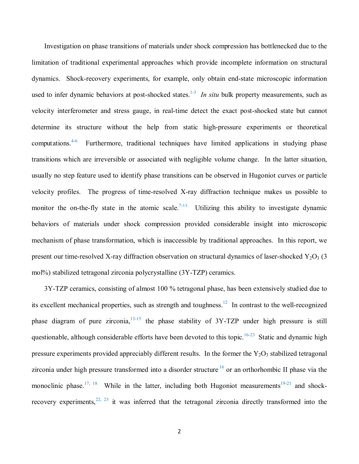Investigation on phase transitions of materials under shock compression has bottlenecked due to the limitation of traditional experimental approaches which provide incomplete information on structural dynamics. Shock-recovery experiments, for example, only obtain end-state microscopic information used to infer dynamic behaviors at post-shocked states.<sup>1-3</sup> In situ bulk property measurements, such as velocity interferometer and stress gauge, in real-time detect the exact post-shocked state but cannot determine its structure without the help from static high-pressure experiments or theoretical computations.<sup>4-6</sup> Furthermore, traditional techniques have limited applications in studying phase transitions which are irreversible or associated with negligible volume change. In the latter situation, usually no step feature used to identify phase transitions can be observed in Hugoniot curves or particle velocity profiles. The progress of time-resolved X-ray diffraction technique makes us possible to monitor the on-the-fly state in the atomic scale.<sup>7-11</sup> Utilizing this ability to investigate dynamic behaviors of materials under shock compression provided considerable insight into microscopic mechanism of phase transformation, which is inaccessible by traditional approaches. In this report, we present our time-resolved X-ray diffraction observation on structural dynamics of laser-shocked  $Y_2O_3$  (3) mol%) stabilized tetragonal zirconia polycrystalline (3Y-TZP) ceramics.

3Y-TZP ceramics, consisting of almost 100 % tetragonal phase, has been extensively studied due to its excellent mechanical properties, such as strength and toughness.<sup>12</sup> In contrast to the well-recognized phase diagram of pure zirconia, $13-15$  the phase stability of 3Y-TZP under high pressure is still questionable, although considerable efforts have been devoted to this topic.<sup>16-23</sup> Static and dynamic high pressure experiments provided appreciably different results. In the former the  $Y_2O_3$  stabilized tetragonal zirconia under high pressure transformed into a disorder structure  $16$  or an orthorhombic II phase via the monoclinic phase.<sup>17, 18</sup> While in the latter, including both Hugoniot measurements<sup>19-21</sup> and shockrecovery experiments,  $2^{2}$ ,  $2^{3}$  it was inferred that the tetragonal zirconia directly transformed into the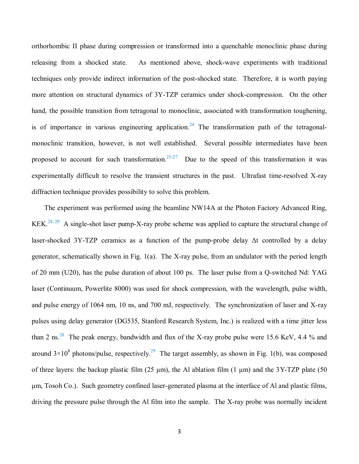orthorhombic II phase during compression or transformed into a quenchable monoclinic phase during releasing from a shocked state. As mentioned above, shock-wave experiments with traditional techniques only provide indirect information of the post-shocked state. Therefore, it is worth paying more attention on structural dynamics of 3Y-TZP ceramics under shock-compression. On the other hand, the possible transition from tetragonal to monoclinic, associated with transformation toughening, is of importance in various engineering application.<sup>24</sup> The transformation path of the tetragonalmonoclinic transition, however, is not well established. Several possible intermediates have been proposed to account for such transformation.<sup>25-27</sup> Due to the speed of this transformation it was experimentally difficult to resolve the transient structures in the past. Ultrafast time-resolved X-ray diffraction technique provides possibility to solve this problem.

The experiment was performed using the beamline NW14A at the Photon Factory Advanced Ring, KEK.<sup>28, 29</sup> A single-shot laser pump-X-ray probe scheme was applied to capture the structural change of laser-shocked 3Y-TZP ceramics as a function of the pump-probe delay Δt controlled by a delay generator, schematically shown in Fig. 1(a). The X-ray pulse, from an undulator with the period length of 20 mm (U20), has the pulse duration of about 100 ps. The laser pulse from a Q-switched Nd: YAG laser (Continuum, Powerlite 8000) was used for shock compression, with the wavelength, pulse width, and pulse energy of 1064 nm, 10 ns, and 700 mJ, respectively. The synchronization of laser and X-ray pulses using delay generator (DG535, Stanford Research System, Inc.) is realized with a time jitter less than 2 ns.<sup>28</sup> The peak energy, bandwidth and flux of the X-ray probe pulse were 15.6 KeV, 4.4 % and around  $3 \times 10^8$  photons/pulse, respectively.<sup>29</sup> The target assembly, as shown in Fig. 1(b), was composed of three layers: the backup plastic film (25  $\mu$ m), the Al ablation film (1  $\mu$ m) and the 3Y-TZP plate (50 μm, Tosoh Co.). Such geometry confined laser-generated plasma at the interface of Al and plastic films, driving the pressure pulse through the Al film into the sample. The X-ray probe was normally incident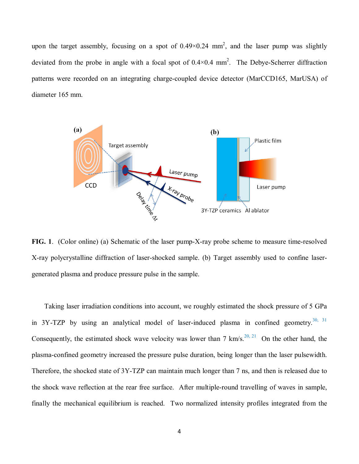upon the target assembly, focusing on a spot of  $0.49 \times 0.24$  mm<sup>2</sup>, and the laser pump was slightly deviated from the probe in angle with a focal spot of  $0.4 \times 0.4$  mm<sup>2</sup>. The Debye-Scherrer diffraction patterns were recorded on an integrating charge-coupled device detector (MarCCD165, MarUSA) of diameter 165 mm.



**FIG. 1**. (Color online) (a) Schematic of the laser pump-X-ray probe scheme to measure time-resolved X-ray polycrystalline diffraction of laser-shocked sample. (b) Target assembly used to confine lasergenerated plasma and produce pressure pulse in the sample.

Taking laser irradiation conditions into account, we roughly estimated the shock pressure of 5 GPa in  $3Y-TZP$  by using an analytical model of laser-induced plasma in confined geometry.<sup>30, 31</sup> Consequently, the estimated shock wave velocity was lower than 7 km/s.<sup>20, 21</sup> On the other hand, the plasma-confined geometry increased the pressure pulse duration, being longer than the laser pulsewidth. Therefore, the shocked state of 3Y-TZP can maintain much longer than 7 ns, and then is released due to the shock wave reflection at the rear free surface. After multiple-round travelling of waves in sample, finally the mechanical equilibrium is reached. Two normalized intensity profiles integrated from the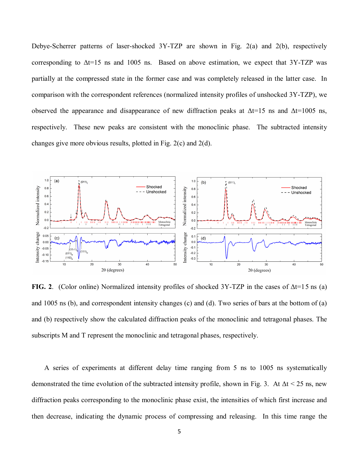Debye-Scherrer patterns of laser-shocked 3Y-TZP are shown in Fig. 2(a) and 2(b), respectively corresponding to  $\Delta t = 15$  ns and 1005 ns. Based on above estimation, we expect that 3Y-TZP was partially at the compressed state in the former case and was completely released in the latter case. In comparison with the correspondent references (normalized intensity profiles of unshocked 3Y-TZP), we observed the appearance and disappearance of new diffraction peaks at  $\Delta t = 15$  ns and  $\Delta t = 1005$  ns, respectively. These new peaks are consistent with the monoclinic phase. The subtracted intensity changes give more obvious results, plotted in Fig. 2(c) and 2(d).



**FIG. 2**. (Color online) Normalized intensity profiles of shocked 3Y-TZP in the cases of Δt=15 ns (a) and 1005 ns (b), and correspondent intensity changes (c) and (d). Two series of bars at the bottom of (a) and (b) respectively show the calculated diffraction peaks of the monoclinic and tetragonal phases. The subscripts M and T represent the monoclinic and tetragonal phases, respectively.

A series of experiments at different delay time ranging from 5 ns to 1005 ns systematically demonstrated the time evolution of the subtracted intensity profile, shown in Fig. 3. At  $\Delta t < 25$  ns, new diffraction peaks corresponding to the monoclinic phase exist, the intensities of which first increase and then decrease, indicating the dynamic process of compressing and releasing. In this time range the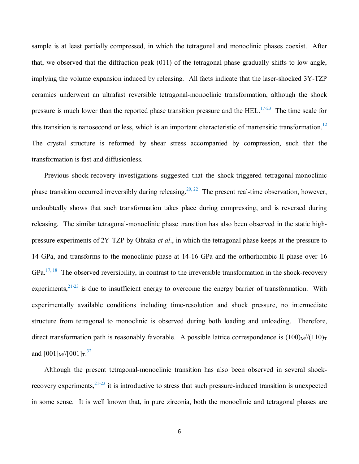sample is at least partially compressed, in which the tetragonal and monoclinic phases coexist. After that, we observed that the diffraction peak (011) of the tetragonal phase gradually shifts to low angle, implying the volume expansion induced by releasing. All facts indicate that the laser-shocked 3Y-TZP ceramics underwent an ultrafast reversible tetragonal-monoclinic transformation, although the shock pressure is much lower than the reported phase transition pressure and the  $HEL$ .<sup>17-23</sup> The time scale for this transition is nanosecond or less, which is an important characteristic of martensitic transformation.<sup>12</sup> The crystal structure is reformed by shear stress accompanied by compression, such that the transformation is fast and diffusionless.

Previous shock-recovery investigations suggested that the shock-triggered tetragonal-monoclinic phase transition occurred irreversibly during releasing.<sup>20, 22</sup> The present real-time observation, however, undoubtedly shows that such transformation takes place during compressing, and is reversed during releasing. The similar tetragonal-monoclinic phase transition has also been observed in the static highpressure experiments of 2Y-TZP by Ohtaka *et al*., in which the tetragonal phase keeps at the pressure to 14 GPa, and transforms to the monoclinic phase at 14-16 GPa and the orthorhombic II phase over 16 GPa.<sup>17, 18</sup> The observed reversibility, in contrast to the irreversible transformation in the shock-recovery experiments,  $2^{1-23}$  is due to insufficient energy to overcome the energy barrier of transformation. With experimentally available conditions including time-resolution and shock pressure, no intermediate structure from tetragonal to monoclinic is observed during both loading and unloading. Therefore, direct transformation path is reasonably favorable. A possible lattice correspondence is  $(100)_{\text{M}}/(110)_{\text{T}}$ and  $[001]_M$ // $[001]_T$ .<sup>32</sup>

Although the present tetragonal-monoclinic transition has also been observed in several shockrecovery experiments,  $2^{1-23}$  it is introductive to stress that such pressure-induced transition is unexpected in some sense. It is well known that, in pure zirconia, both the monoclinic and tetragonal phases are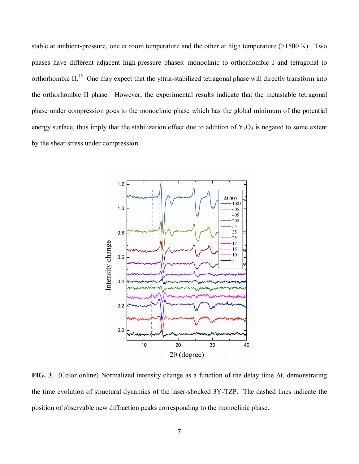stable at ambient-pressure, one at room temperature and the other at high temperature (>1500 K). Two phases have different adjacent high-pressure phases: monoclinic to orthorhombic I and tetragonal to orthorhombic II.<sup>15</sup> One may expect that the yttria-stabilized tetragonal phase will directly transform into the orthorhombic II phase. However, the experimental results indicate that the metastable tetragonal phase under compression goes to the monoclinic phase which has the global minimum of the potential energy surface, thus imply that the stabilization effect due to addition of  $Y_2O_3$  is negated to some extent by the shear stress under compression.



**FIG. 3**. (Color online) Normalized intensity change as a function of the delay time Δt, demonstrating the time evolution of structural dynamics of the laser-shocked 3Y-TZP. The dashed lines indicate the position of observable new diffraction peaks corresponding to the monoclinic phase.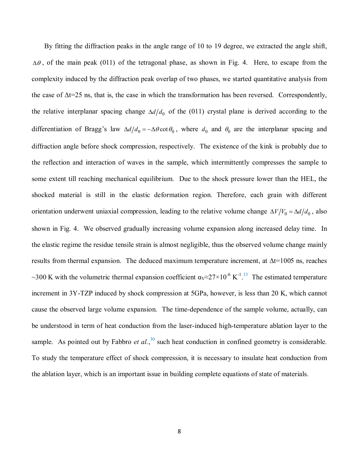By fitting the diffraction peaks in the angle range of 10 to 19 degree, we extracted the angle shift,  $\Delta\theta$ , of the main peak (011) of the tetragonal phase, as shown in Fig. 4. Here, to escape from the complexity induced by the diffraction peak overlap of two phases, we started quantitative analysis from the case of  $\Delta t = 25$  ns, that is, the case in which the transformation has been reversed. Correspondently, the relative interplanar spacing change  $\Delta d/d_0$  of the (011) crystal plane is derived according to the differentiation of Bragg's law  $\Delta d/d_0 = -\Delta \theta \cot \theta_0$ , where  $d_0$  and  $\theta_0$  are the interplanar spacing and diffraction angle before shock compression, respectively. The existence of the kink is probably due to the reflection and interaction of waves in the sample, which intermittently compresses the sample to some extent till reaching mechanical equilibrium. Due to the shock pressure lower than the HEL, the shocked material is still in the elastic deformation region. Therefore, each grain with different orientation underwent uniaxial compression, leading to the relative volume change  $\Delta V/V_0 = \Delta d/d_0$ , also shown in Fig. 4. We observed gradually increasing volume expansion along increased delay time. In the elastic regime the residue tensile strain is almost negligible, thus the observed volume change mainly results from thermal expansion. The deduced maximum temperature increment, at  $\Delta t = 1005$  ns, reaches ~300 K with the volumetric thermal expansion coefficient  $\alpha$ <sub>V</sub>≈27×10<sup>-6</sup> K<sup>-1</sup>.<sup>33</sup> The estimated temperature increment in 3Y-TZP induced by shock compression at 5GPa, however, is less than 20 K, which cannot cause the observed large volume expansion. The time-dependence of the sample volume, actually, can be understood in term of heat conduction from the laser-induced high-temperature ablation layer to the sample. As pointed out by Fabbro *et al.*,<sup>30</sup> such heat conduction in confined geometry is considerable. To study the temperature effect of shock compression, it is necessary to insulate heat conduction from the ablation layer, which is an important issue in building complete equations of state of materials.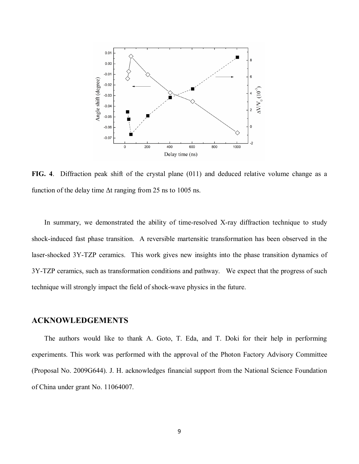

**FIG. 4**. Diffraction peak shift of the crystal plane (011) and deduced relative volume change as a function of the delay time  $\Delta t$  ranging from 25 ns to 1005 ns.

In summary, we demonstrated the ability of time-resolved X-ray diffraction technique to study shock-induced fast phase transition. A reversible martensitic transformation has been observed in the laser-shocked 3Y-TZP ceramics. This work gives new insights into the phase transition dynamics of 3Y-TZP ceramics, such as transformation conditions and pathway. We expect that the progress of such technique will strongly impact the field of shock-wave physics in the future.

## **ACKNOWLEDGEMENTS**

The authors would like to thank A. Goto, T. Eda, and T. Doki for their help in performing experiments. This work was performed with the approval of the Photon Factory Advisory Committee (Proposal No. 2009G644). J. H. acknowledges financial support from the National Science Foundation of China under grant No. 11064007.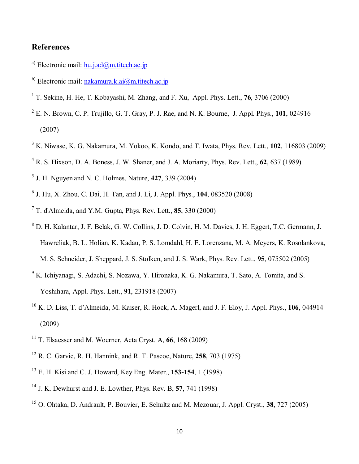## **References**

- a) Electronic mail:  $hu.i.d@m.titech.ac.jp$
- b) Electronic mail: nakamura.k.ai $\omega$ m.titech.ac.jp
- T. Sekine, H. He, T. Kobayashi, M. Zhang, and F. Xu, Appl. Phys. Lett., **76**, 3706 (2000)
- E. N. Brown, C. P. Trujillo, G. T. Gray, P. J. Rae, and N. K. Bourne, J. Appl. Phys., **101**, 024916 (2007)
- K. Niwase, K. G. Nakamura, M. Yokoo, K. Kondo, and T. Iwata, Phys. Rev. Lett., **102**, 116803 (2009)
- R. S. Hixson, D. A. Boness, J. W. Shaner, and J. A. Moriarty, Phys. Rev. Lett., **62**, 637 (1989)
- J. H. Nguyen and N. C. Holmes, Nature, **427**, 339 (2004)
- J. Hu, X. Zhou, C. Dai, H. Tan, and J. Li, J. Appl. Phys., **104**, 083520 (2008)
- T. d'Almeida, and Y.M. Gupta, Phys. Rev. Lett., **85**, 330 (2000)
- D. H. Kalantar, J. F. Belak, G. W. Collins, J. D. Colvin, H. M. Davies, J. H. Eggert, T.C. Germann, J. Hawreliak, B. L. Holian, K. Kadau, P. S. Lomdahl, H. E. Lorenzana, M. A. Meyers, K. Rosolankova, M. S. Schneider, J. Sheppard, J. S. Stolken, and J. S. Wark, Phys. Rev. Lett., **95**, 075502 (2005)
- <sup>9</sup> K. Ichiyanagi, S. Adachi, S. Nozawa, Y. Hironaka, K. G. Nakamura, T. Sato, A. Tomita, and S. Yoshihara, Appl. Phys. Lett., **91**, 231918 (2007)
- K. D. Liss, T. d'Almeida, M. Kaiser, R. Hock, A. Magerl, and J. F. Eloy, J. Appl. Phys., **106**, 044914 (2009)
- T. Elsaesser and M. Woerner, Acta Cryst. A, **66**, 168 (2009)
- R. C. Garvie, R. H. Hannink, and R. T. Pascoe, Nature, **258**, 703 (1975)
- E. H. Kisi and C. J. Howard, Key Eng. Mater., **153-154**, 1 (1998)
- J. K. Dewhurst and J. E. Lowther, Phys. Rev. B, **57**, 741 (1998)
- O. Ohtaka, D. Andrault, P. Bouvier, E. Schultz and M. Mezouar, J. Appl. Cryst., **38**, 727 (2005)